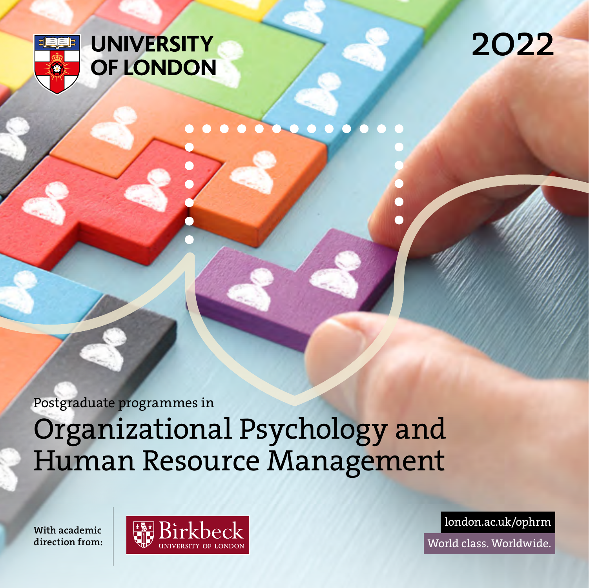

## **UNIVERSITY** OF LONDON

## 2022

Postgraduate programmes in

Organizational Psychology and Human Resource Management

With academic direction from:



london.ac.uk/ophrm World class. Worldwide.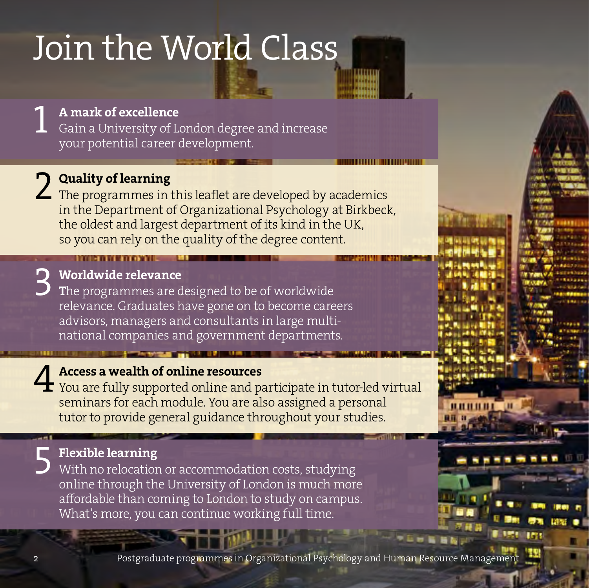## <span id="page-1-0"></span>Join the World Class

A mark of excellence

**1 A mark of excellence**<br>Gain a University of London degree and increase your potential career development.

Quality of learning

2 Quality of learning<br>The programmes in this leaflet are developed by academics<br>in the Department of Organizational Payshology of Pirkhool in the Department of Organizational Psychology at Birkbeck, the oldest and largest department of its kind in the UK, so you can rely on the quality of the degree content.

3 Worldwide relevance

The programmes are designed to be of worldwide relevance. Graduates have gone on to become careers advisors, managers and consultants in large multinational companies and government departments.

### Access a wealth of online resources

**4 Access a wealth of online resources<br>
You are fully supported online and participate in tutor-led virtual<br>
seminary for each module You are also assigned a personal** seminars for each module. You are also assigned a personal tutor to provide general guidance throughout your studies.

5 Flexible learning With no relocation or accommodation costs, studying online through the University of London is much more affordable than coming to London to study on campus. What's more, you can continue working full time.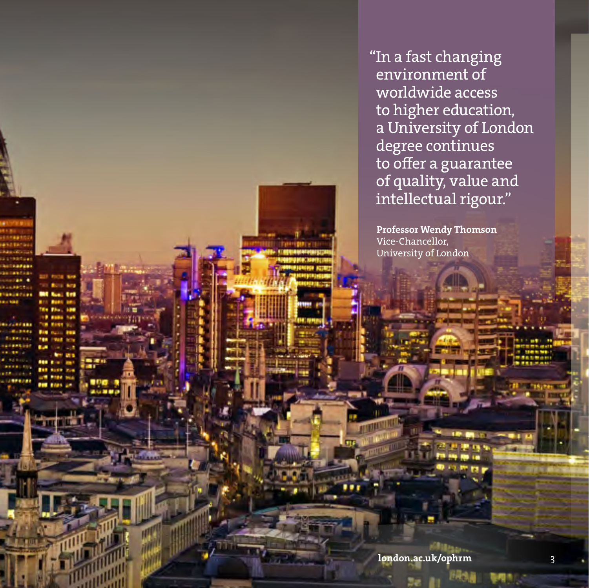"In a fast changing environment of worldwide access to higher education, a University of London degree continues to offer a guarantee of quality, value and intellectual rigour."

 Professor Wendy Thomson Vice-Chancellor, University of London

london.ac.uk/ophrm 3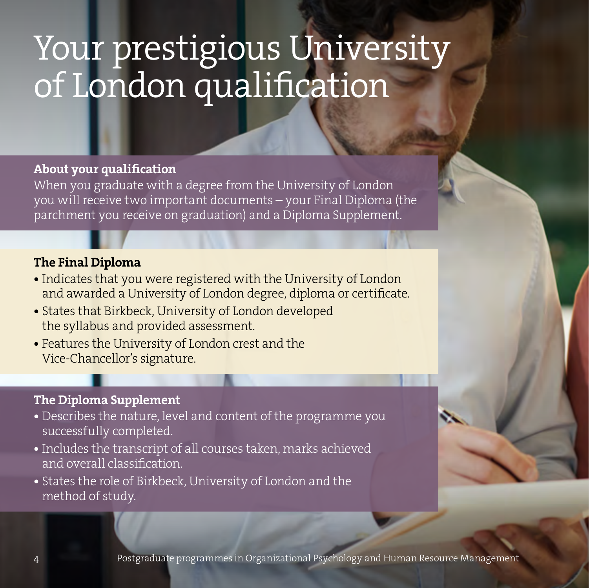## <span id="page-3-0"></span>Your prestigious University of London qualification

### About your qualification

When you graduate with a degree from the University of London you will receive two important documents – your Final Diploma (the parchment you receive on graduation) and a Diploma Supplement.

### The Final Diploma

- Indicates that you were registered with the University of London and awarded a University of London degree, diploma or certificate.
- States that Birkbeck, University of London developed the syllabus and provided assessment.
- Features the University of London crest and the Vice-Chancellor's signature.

### The Diploma Supplement

- Describes the nature, level and content of the programme you successfully completed.
- Includes the transcript of all courses taken, marks achieved and overall classification.
- States the role of Birkbeck, University of London and the method of study.

4 Postgraduate programmes in Organizational Psychology and Human Resource Management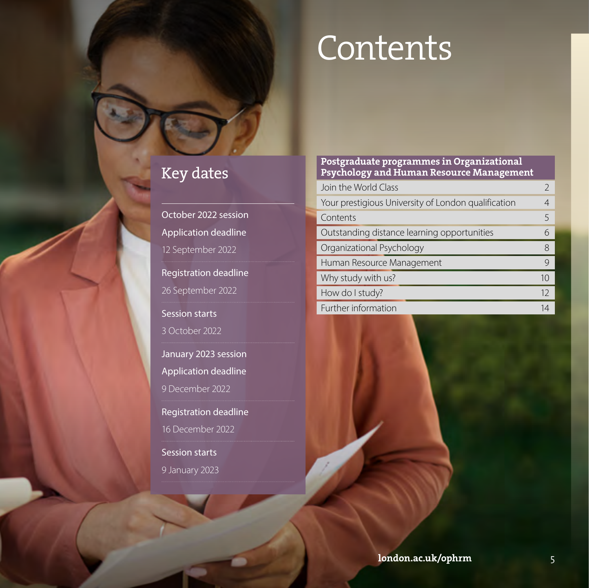## Contents

## Key dates

October 2022 session Application deadline 12 September 2022 Registration deadline 26 September 2022 Session starts 3 October 2022 January 2023 session Application deadline 9 December 2022 Registration deadline 16 December 2022 Session starts 9 January 2023

#### Postgraduate programmes in Organizational Psychology and Human Resource Management

| Join the World Class                                |    |
|-----------------------------------------------------|----|
| Your prestigious University of London qualification |    |
| Contents                                            | 5  |
| Outstanding distance learning opportunities         | 6  |
| Organizational Psychology                           | 8  |
| Human Resource Management                           | 9  |
| Why study with us?                                  | 10 |
| How do I study?                                     | 12 |
| Further information                                 | 14 |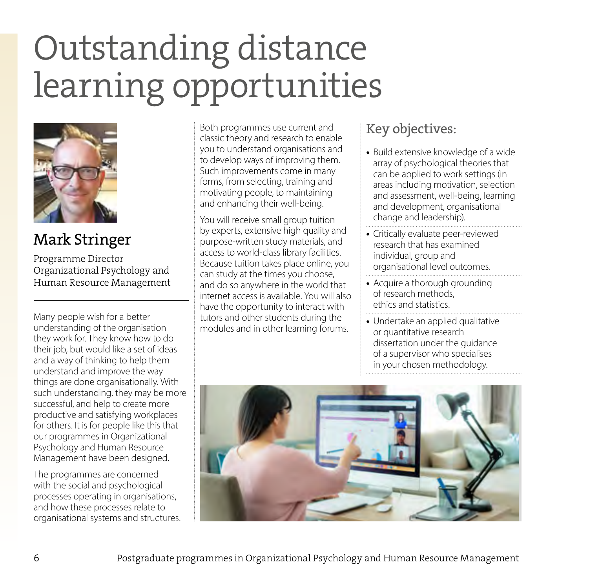## <span id="page-5-0"></span>Outstanding distance learning opportunities



Mark Stringer

Programme Director Organizational Psychology and Human Resource Management

Many people wish for a better understanding of the organisation they work for. They know how to do their job, but would like a set of ideas and a way of thinking to help them understand and improve the way things are done organisationally. With such understanding, they may be more successful, and help to create more productive and satisfying workplaces for others. It is for people like this that our programmes in Organizational Psychology and Human Resource Management have been designed.

The programmes are concerned with the social and psychological processes operating in organisations, and how these processes relate to organisational systems and structures.

Both programmes use current and classic theory and research to enable you to understand organisations and to develop ways of improving them. Such improvements come in many forms, from selecting, training and motivating people, to maintaining and enhancing their well-being.

You will receive small group tuition by experts, extensive high quality and purpose-written study materials, and access to world-class library facilities. Because tuition takes place online, you can study at the times you choose, and do so anywhere in the world that internet access is available. You will also have the opportunity to interact with tutors and other students during the modules and in other learning forums.

## Key objectives:

- **•** Build extensive knowledge of a wide array of psychological theories that can be applied to work settings (in areas including motivation, selection and assessment, well-being, learning and development, organisational change and leadership).
- **•** Critically evaluate peer-reviewed research that has examined individual, group and organisational level outcomes.
- Acquire a thorough grounding of research methods, ethics and statistics.
- **•** Undertake an applied qualitative or quantitative research dissertation under the guidance of a supervisor who specialises in your chosen methodology.

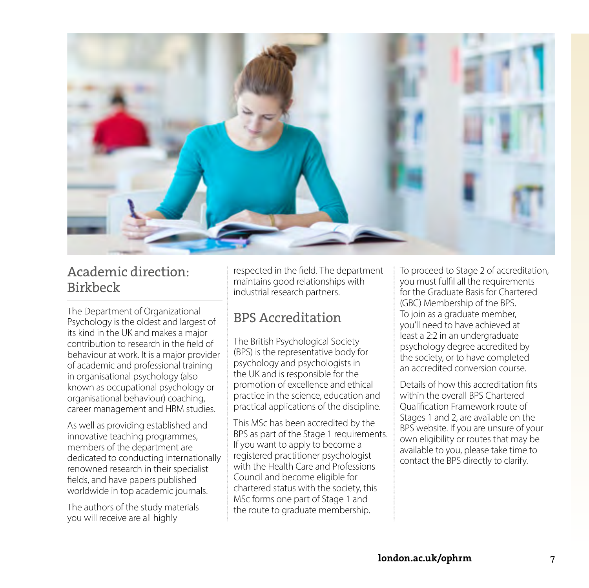

### Academic direction: Birkbeck

The Department of Organizational Psychology is the oldest and largest of its kind in the UK and makes a major contribution to research in the field of behaviour at work. It is a major provider of academic and professional training in organisational psychology (also known as occupational psychology or organisational behaviour) coaching, career management and HRM studies.

As well as providing established and innovative teaching programmes, members of the department are dedicated to conducting internationally renowned research in their specialist fields, and have papers published worldwide in top academic journals.

The authors of the study materials you will receive are all highly

respected in the field. The department maintains good relationships with industrial research partners.

## BPS Accreditation

The British Psychological Society (BPS) is the representative body for psychology and psychologists in the UK and is responsible for the promotion of excellence and ethical practice in the science, education and practical applications of the discipline.

This MSc has been accredited by the BPS as part of the Stage 1 requirements. If you want to apply to become a registered practitioner psychologist with the Health Care and Professions Council and become eligible for chartered status with the society, this MSc forms one part of Stage 1 and the route to graduate membership.

To proceed to Stage 2 of accreditation, you must fulfil all the requirements for the Graduate Basis for Chartered (GBC) Membership of the BPS. To join as a graduate member, you'll need to have achieved at least a 2:2 in an undergraduate psychology degree accredited by the society, or to have completed an accredited conversion course.

Details of how this accreditation fits within the overall BPS Chartered Qualification Framework route of Stages 1 and 2, are available on the BPS website. If you are unsure of your own eligibility or routes that may be available to you, please take time to contact the BPS directly to clarify.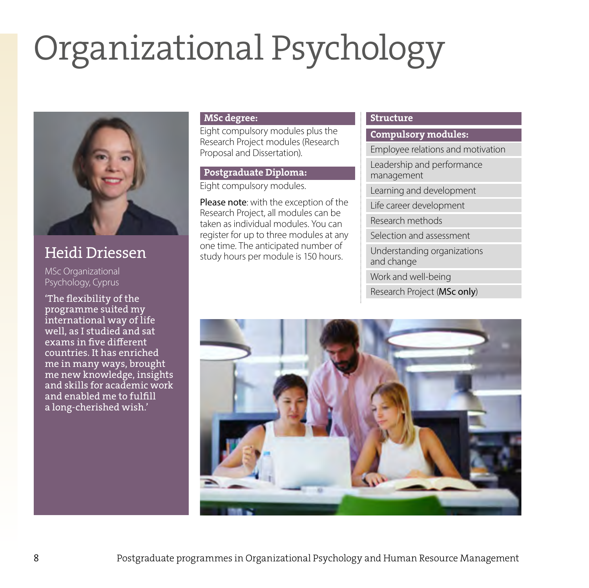# <span id="page-7-0"></span>Organizational Psychology



Heidi Driessen

MSc Organizational Psychology, Cyprus

'The flexibility of the programme suited my international way of life well, as I studied and sat exams in five different countries. It has enriched me in many ways, brought me new knowledge, insights and skills for academic work and enabled me to fulfill a long-cherished wish.'

#### MSc degree:

Eight compulsory modules plus the Research Project modules (Research Proposal and Dissertation).

## Postgraduate Diploma:

Eight compulsory modules.

Please note: with the exception of the Research Project, all modules can be taken as individual modules. You can register for up to three modules at any one time. The anticipated number of study hours per module is 150 hours.

#### Structure

Compulsory modules:

Employee relations and motivation

Leadership and performance management

Learning and development

Life career development

Research methods

Selection and assessment

Understanding organizations and change

Work and well-being

Research Project (MSc only)

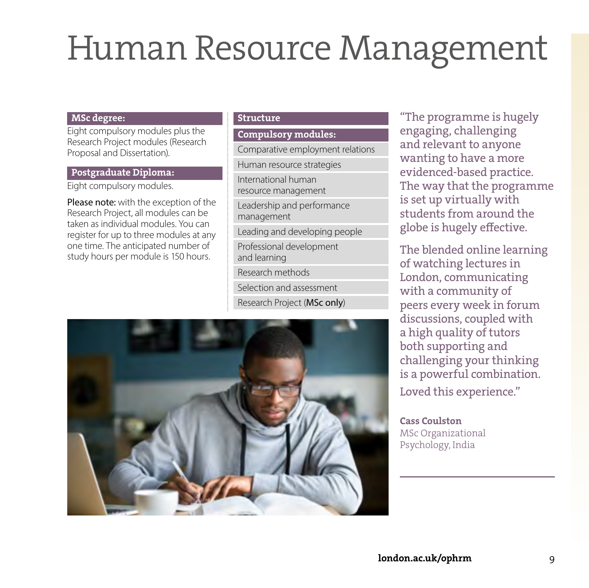## <span id="page-8-0"></span>Human Resource Management

#### MSc degree:

Eight compulsory modules plus the Research Project modules (Research Proposal and Dissertation).

#### Postgraduate Diploma:

Eight compulsory modules.

Please note: with the exception of the Research Project, all modules can be taken as individual modules. You can register for up to three modules at any one time. The anticipated number of study hours per module is 150 hours.

#### Structure

Compulsory modules:

Comparative employment relations

Human resource strategies

International human resource management

Leadership and performance management

Leading and developing people

Professional development and learning

Research methods

Selection and assessment

Research Project (MSc only)



"The programme is hugely engaging, challenging and relevant to anyone wanting to have a more evidenced-based practice. The way that the programme is set up virtually with students from around the globe is hugely effective.

The blended online learning of watching lectures in London, communicating with a community of peers every week in forum discussions, coupled with a high quality of tutors both supporting and challenging your thinking is a powerful combination. Loved this experience."

Cass Coulston MSc Organizational Psychology, India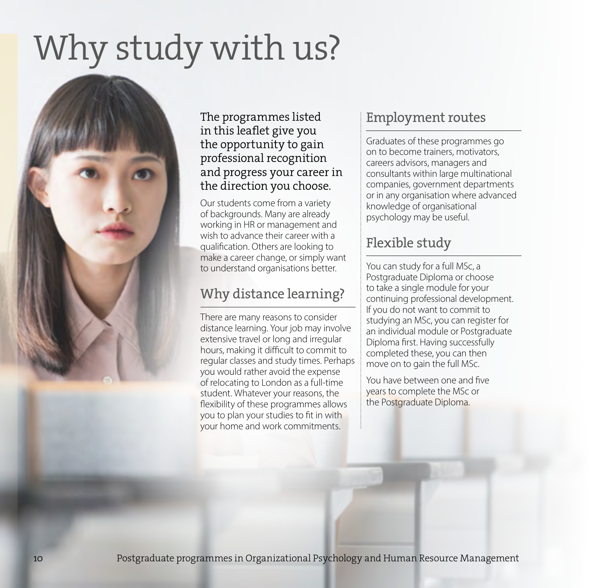## <span id="page-9-0"></span>Why study with us?



### The programmes listed in this leaflet give you the opportunity to gain professional recognition and progress your career in the direction you choose.

Our students come from a variety of backgrounds. Many are already working in HR or management and wish to advance their career with a qualification. Others are looking to make a career change, or simply want to understand organisations better.

## Why distance learning?

There are many reasons to consider distance learning. Your job may involve extensive travel or long and irregular hours, making it difficult to commit to regular classes and study times. Perhaps you would rather avoid the expense of relocating to London as a full-time student. Whatever your reasons, the flexibility of these programmes allows you to plan your studies to fit in with your home and work commitments.

## Employment routes

Graduates of these programmes go on to become trainers, motivators, careers advisors, managers and consultants within large multinational companies, government departments or in any organisation where advanced knowledge of organisational psychology may be useful.

## Flexible study

You can study for a full MSc, a Postgraduate Diploma or choose to take a single module for your continuing professional development. If you do not want to commit to studying an MSc, you can register for an individual module or Postgraduate Diploma first. Having successfully completed these, you can then move on to gain the full MSc.

You have between one and five years to complete the MSc or the Postgraduate Diploma.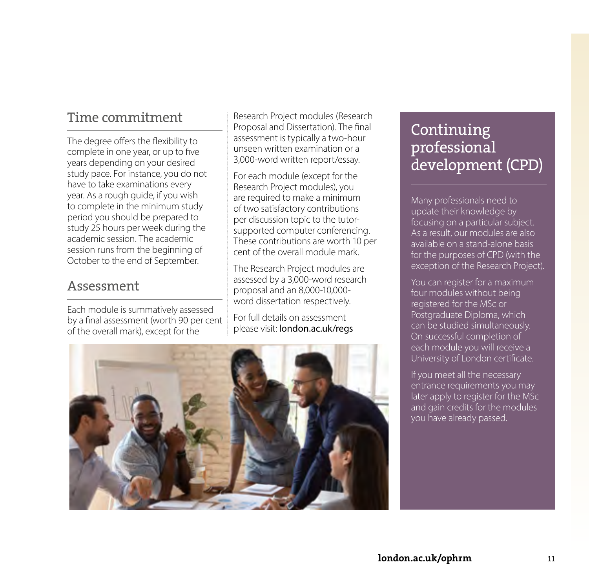## Time commitment

The degree offers the flexibility to complete in one year, or up to five years depending on your desired study pace. For instance, you do not have to take examinations every year. As a rough guide, if you wish to complete in the minimum study period you should be prepared to study 25 hours per week during the academic session. The academic session runs from the beginning of October to the end of September.

### Assessment

Each module is summatively assessed by a final assessment (worth 90 per cent of the overall mark), except for the

Research Project modules (Research Proposal and Dissertation). The final assessment is typically a two-hour unseen written examination or a 3,000-word written report/essay.

For each module (except for the Research Project modules), you are required to make a minimum of two satisfactory contributions per discussion topic to the tutorsupported computer conferencing. These contributions are worth 10 per cent of the overall module mark.

The Research Project modules are assessed by a 3,000-word research proposal and an 8,000-10,000 word dissertation respectively.

For full details on assessment please visit: [london.ac.uk/regs](http://london.ac.uk/regs)



## Continuing professional development (CPD)

Many professionals need to update their knowledge by focusing on a particular subject. As a result, our modules are also available on a stand-alone basis for the purposes of CPD (with the exception of the Research Project).

You can register for a maximum four modules without being registered for the MSc or Postgraduate Diploma, which can be studied simultaneously. On successful completion of each module you will receive a University of London certificate.

If you meet all the necessary entrance requirements you may later apply to register for the MSc and gain credits for the modules you have already passed.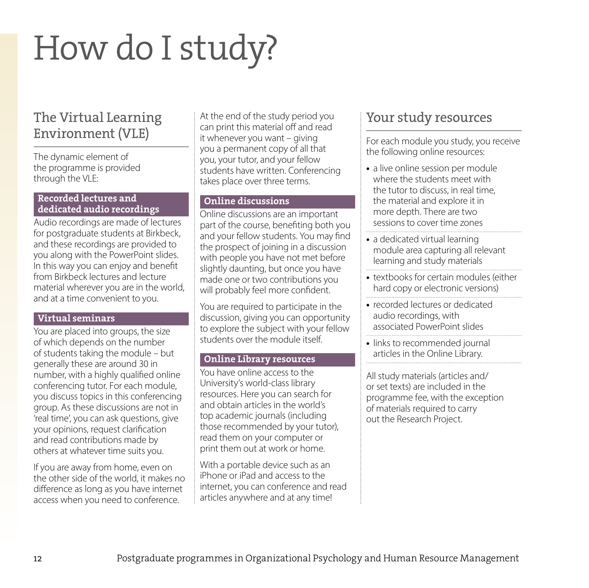## <span id="page-11-0"></span>How do I study?

## The Virtual Learning Environment (VLE)

The dynamic element of the programme is provided through the VLE:

#### Recorded lectures and dedicated audio recordings

Audio recordings are made of lectures for postgraduate students at Birkbeck, and these recordings are provided to you along with the PowerPoint slides. In this way you can enjoy and benefit from Birkbeck lectures and lecture material wherever you are in the world, and at a time convenient to you.

#### Virtual seminars

You are placed into groups, the size of which depends on the number of students taking the module – but generally these are around 30 in number, with a highly qualified online conferencing tutor. For each module, you discuss topics in this conferencing group. As these discussions are not in 'real time', you can ask questions, give your opinions, request clarification and read contributions made by others at whatever time suits you.

If you are away from home, even on the other side of the world, it makes no difference as long as you have internet access when you need to conference.

At the end of the study period you can print this material off and read it whenever you want – giving you a permanent copy of all that you, your tutor, and your fellow students have written. Conferencing takes place over three terms.

#### Online discussions

Online discussions are an important part of the course, benefiting both you and your fellow students. You may find the prospect of joining in a discussion with people you have not met before slightly daunting, but once you have made one or two contributions you will probably feel more confident.

You are required to participate in the discussion, giving you can opportunity to explore the subject with your fellow students over the module itself.

#### Online Library resources

You have online access to the University's world-class library resources. Here you can search for and obtain articles in the world's top academic journals (including those recommended by your tutor), read them on your computer or print them out at work or home.

With a portable device such as an iPhone or iPad and access to the internet, you can conference and read articles anywhere and at any time!

## Your study resources

For each module you study, you receive the following online resources:

- a live online session per module where the students meet with the tutor to discuss, in real time, the material and explore it in more depth. There are two sessions to cover time zones
- **•** a dedicated virtual learning module area capturing all relevant learning and study materials
- **•** textbooks for certain modules (either hard copy or electronic versions)
- **•** recorded lectures or dedicated audio recordings, with associated PowerPoint slides
- links to recommended journal articles in the Online Library.

All study materials (articles and/ or set texts) are included in the programme fee, with the exception of materials required to carry out the Research Project.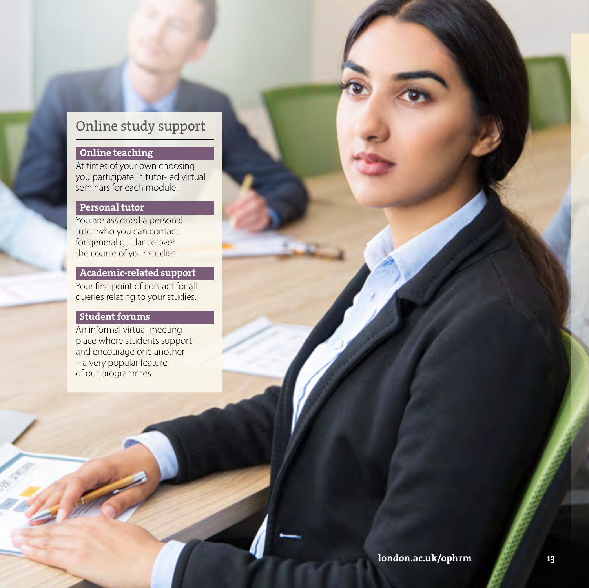## Online study support

#### Online teaching

At times of your own choosing you participate in tutor-led virtual seminars for each module.

#### Personal tutor

You are assigned a personal tutor who you can contact for general guidance over the course of your studies.

#### Academic-related support

Your first point of contact for all queries relating to your studies.

#### Student forums

An informal virtual meeting place where students support and encourage one another – a very popular feature of our programmes.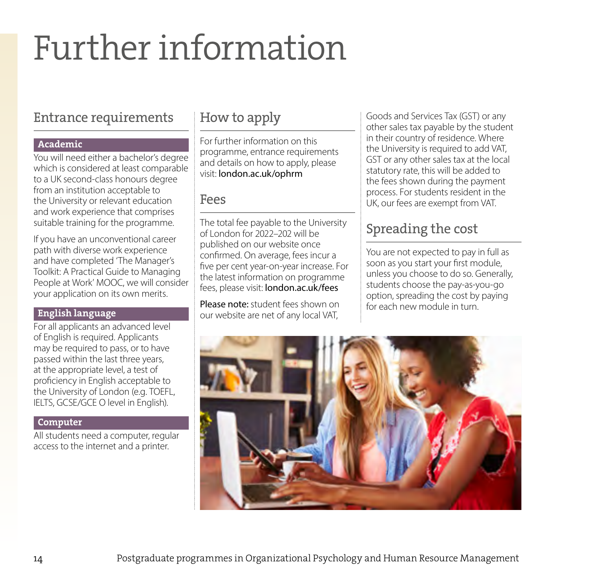## <span id="page-13-0"></span>Further information

## Entrance requirements

#### Academic

You will need either a bachelor's degree which is considered at least comparable to a UK second-class honours degree from an institution acceptable to the University or relevant education and work experience that comprises suitable training for the programme.

If you have an unconventional career path with diverse work experience and have completed 'The Manager's Toolkit: A Practical Guide to Managing People at Work' MOOC, we will consider your application on its own merits.

### English language

For all applicants an advanced level of English is required. Applicants may be required to pass, or to have passed within the last three years, at the appropriate level, a test of proficiency in English acceptable to the University of London (e.g. TOEFL, IELTS, GCSE/GCE O level in English).

### Computer

All students need a computer, regular access to the internet and a printer.

## How to apply

For further information on this programme, entrance requirements and details on how to apply, please visit: [london.ac.uk/ophrm](http://london.ac.uk/ophrm)

### Fees

The total fee payable to the University of London for 2022–202 will be published on our website once confirmed. On average, fees incur a five per cent year-on-year increase. For the latest information on programme fees, please visit: [london.ac.uk/fees](http://london.ac.uk/fees)

Please note: student fees shown on our website are net of any local VAT,

Goods and Services Tax (GST) or any other sales tax payable by the student in their country of residence. Where the University is required to add VAT, GST or any other sales tax at the local statutory rate, this will be added to the fees shown during the payment process. For students resident in the UK, our fees are exempt from VAT.

## Spreading the cost

You are not expected to pay in full as soon as you start your first module, unless you choose to do so. Generally, students choose the pay-as-you-go option, spreading the cost by paying for each new module in turn.

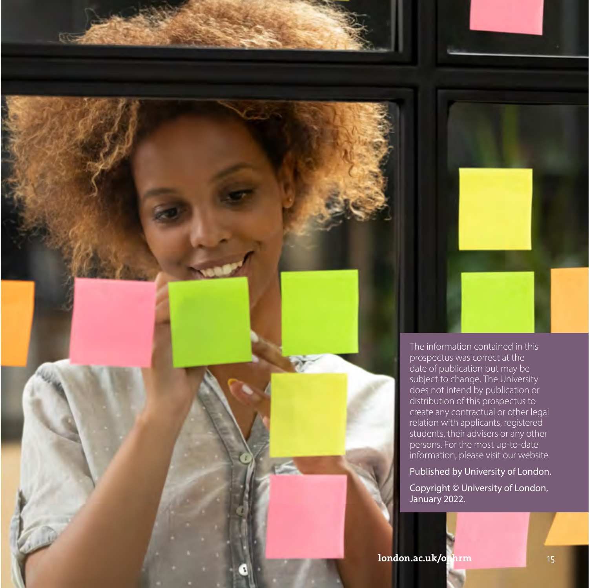

The information contained in this prospectus was correct at the date of publication but may be subject to change. The University does not intend by publication or distribution of this prospectus to create any contractual or other legal relation with applicants, registered students, their advisers or any other persons. For the most up-to-date information, please visit our website.

Published by University of London.

Copyright © University of London, January 2022.